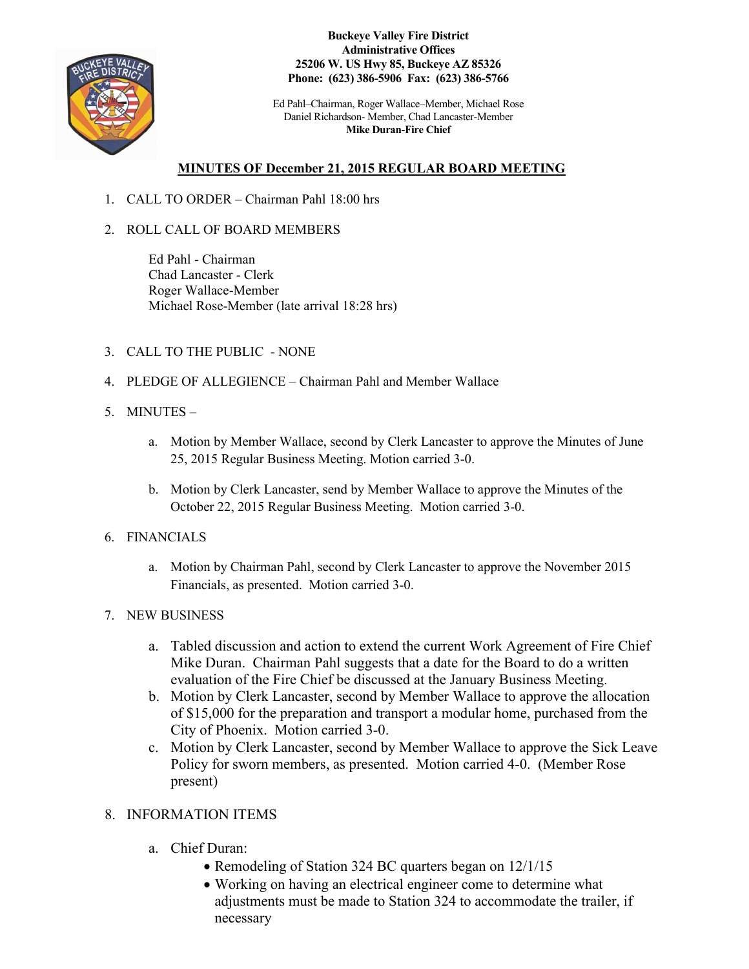

**Buckeye Valley Fire District Administrative Offices 25206 W. US Hwy 85, Buckeye AZ 85326 Phone: (623) 386-5906 Fax: (623) 386-5766**

Ed Pahl–Chairman, Roger Wallace–Member, Michael Rose Daniel Richardson- Member, Chad Lancaster-Member **Mike Duran-Fire Chief**

## **MINUTES OF December 21, 2015 REGULAR BOARD MEETING**

- 1. CALL TO ORDER Chairman Pahl 18:00 hrs
- 2. ROLL CALL OF BOARD MEMBERS

Ed Pahl - Chairman Chad Lancaster - Clerk Roger Wallace-Member Michael Rose-Member (late arrival 18:28 hrs)

- 3. CALL TO THE PUBLIC NONE
- 4. PLEDGE OF ALLEGIENCE Chairman Pahl and Member Wallace
- 5. MINUTES
	- a. Motion by Member Wallace, second by Clerk Lancaster to approve the Minutes of June 25, 2015 Regular Business Meeting. Motion carried 3-0.
	- b. Motion by Clerk Lancaster, send by Member Wallace to approve the Minutes of the October 22, 2015 Regular Business Meeting. Motion carried 3-0.
- 6. FINANCIALS
	- a. Motion by Chairman Pahl, second by Clerk Lancaster to approve the November 2015 Financials, as presented. Motion carried 3-0.
- 7. NEW BUSINESS
	- a. Tabled discussion and action to extend the current Work Agreement of Fire Chief Mike Duran. Chairman Pahl suggests that a date for the Board to do a written evaluation of the Fire Chief be discussed at the January Business Meeting.
	- b. Motion by Clerk Lancaster, second by Member Wallace to approve the allocation of \$15,000 for the preparation and transport a modular home, purchased from the City of Phoenix. Motion carried 3-0.
	- c. Motion by Clerk Lancaster, second by Member Wallace to approve the Sick Leave Policy for sworn members, as presented. Motion carried 4-0. (Member Rose present)

## 8. INFORMATION ITEMS

- a. Chief Duran:
	- Remodeling of Station 324 BC quarters began on 12/1/15
	- Working on having an electrical engineer come to determine what adjustments must be made to Station 324 to accommodate the trailer, if necessary